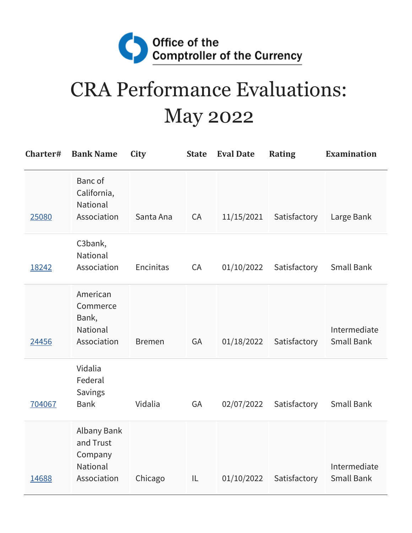

## CRA Performance Evaluations: May 2022

| Charter# | <b>Bank Name</b>                                               | City          | <b>State</b> | <b>Eval Date</b> | <b>Rating</b> | <b>Examination</b>                |
|----------|----------------------------------------------------------------|---------------|--------------|------------------|---------------|-----------------------------------|
| 25080    | Banc of<br>California,<br><b>National</b><br>Association       | Santa Ana     | CA           | 11/15/2021       | Satisfactory  | Large Bank                        |
| 18242    | C3bank,<br>National<br>Association                             | Encinitas     | CA           | 01/10/2022       | Satisfactory  | <b>Small Bank</b>                 |
| 24456    | American<br>Commerce<br>Bank,<br>National<br>Association       | <b>Bremen</b> | GA           | 01/18/2022       | Satisfactory  | Intermediate<br><b>Small Bank</b> |
| 704067   | Vidalia<br>Federal<br>Savings<br><b>Bank</b>                   | Vidalia       | GA           | 02/07/2022       | Satisfactory  | Small Bank                        |
| 14688    | Albany Bank<br>and Trust<br>Company<br>National<br>Association | Chicago       | IL           | 01/10/2022       | Satisfactory  | Intermediate<br><b>Small Bank</b> |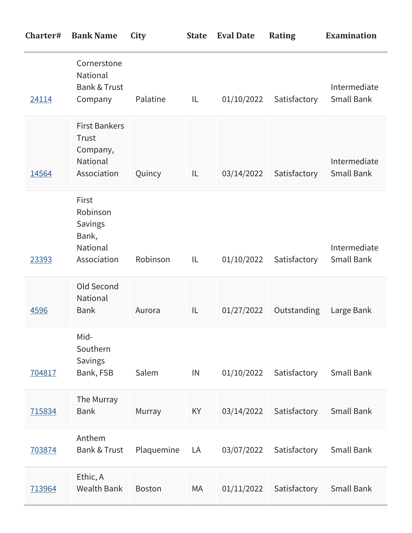| Charter# | <b>Bank Name</b>                                                            | City          | <b>State</b> | <b>Eval Date</b> | <b>Rating</b> | <b>Examination</b>                |
|----------|-----------------------------------------------------------------------------|---------------|--------------|------------------|---------------|-----------------------------------|
| 24114    | Cornerstone<br>National<br><b>Bank &amp; Trust</b><br>Company               | Palatine      | IL           | 01/10/2022       | Satisfactory  | Intermediate<br>Small Bank        |
| 14564    | <b>First Bankers</b><br>Trust<br>Company,<br><b>National</b><br>Association | Quincy        | IL           | 03/14/2022       | Satisfactory  | Intermediate<br><b>Small Bank</b> |
| 23393    | First<br>Robinson<br><b>Savings</b><br>Bank,<br>National<br>Association     | Robinson      | IL           | 01/10/2022       | Satisfactory  | Intermediate<br>Small Bank        |
| 4596     | Old Second<br><b>National</b><br><b>Bank</b>                                | Aurora        | IL           | 01/27/2022       | Outstanding   | Large Bank                        |
| 704817   | Mid-<br>Southern<br>Savings<br>Bank, FSB                                    | Salem         | IN           | 01/10/2022       | Satisfactory  | <b>Small Bank</b>                 |
| 715834   | The Murray<br><b>Bank</b>                                                   | Murray        | KY           | 03/14/2022       | Satisfactory  | <b>Small Bank</b>                 |
| 703874   | Anthem<br><b>Bank &amp; Trust</b>                                           | Plaquemine    | LA           | 03/07/2022       | Satisfactory  | <b>Small Bank</b>                 |
| 713964   | Ethic, A<br><b>Wealth Bank</b>                                              | <b>Boston</b> | МA           | 01/11/2022       | Satisfactory  | Small Bank                        |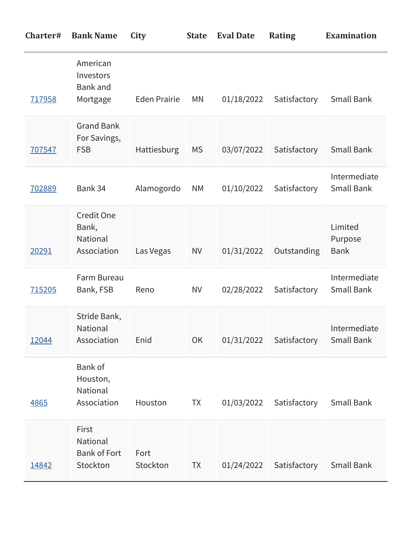| Charter# | <b>Bank Name</b>                                     | City                | <b>State</b> | <b>Eval Date</b> | <b>Rating</b> | <b>Examination</b>                |
|----------|------------------------------------------------------|---------------------|--------------|------------------|---------------|-----------------------------------|
| 717958   | American<br>Investors<br><b>Bank</b> and<br>Mortgage | <b>Eden Prairie</b> | <b>MN</b>    | 01/18/2022       | Satisfactory  | <b>Small Bank</b>                 |
| 707547   | <b>Grand Bank</b><br>For Savings,<br><b>FSB</b>      | Hattiesburg         | <b>MS</b>    | 03/07/2022       | Satisfactory  | <b>Small Bank</b>                 |
| 702889   | Bank 34                                              | Alamogordo          | <b>NM</b>    | 01/10/2022       | Satisfactory  | Intermediate<br><b>Small Bank</b> |
| 20291    | Credit One<br>Bank,<br>National<br>Association       | Las Vegas           | <b>NV</b>    | 01/31/2022       | Outstanding   | Limited<br>Purpose<br><b>Bank</b> |
| 715205   | Farm Bureau<br>Bank, FSB                             | Reno                | <b>NV</b>    | 02/28/2022       | Satisfactory  | Intermediate<br>Small Bank        |
| 12044    | Stride Bank,<br><b>National</b><br>Association       | Enid                | OK           | 01/31/2022       | Satisfactory  | Intermediate<br><b>Small Bank</b> |
| 4865     | Bank of<br>Houston,<br>National<br>Association       | Houston             | <b>TX</b>    | 01/03/2022       | Satisfactory  | Small Bank                        |
| 14842    | First<br>National<br><b>Bank of Fort</b><br>Stockton | Fort<br>Stockton    | <b>TX</b>    | 01/24/2022       | Satisfactory  | Small Bank                        |